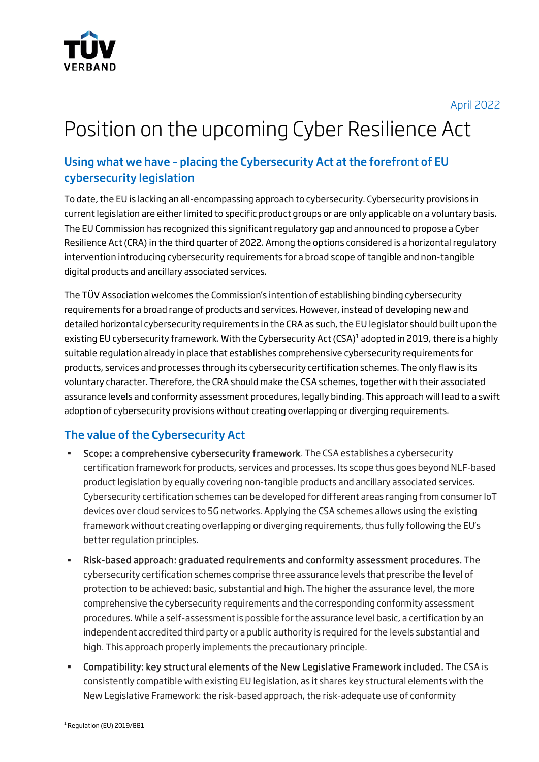

April 2022

# Position on the upcoming Cyber Resilience Act

# Using what we have – placing the Cybersecurity Act at the forefront of EU cybersecurity legislation

To date, the EU is lacking an all-encompassing approach to cybersecurity. Cybersecurity provisions in current legislation are either limited to specific product groups or are only applicable on a voluntary basis. The EU Commission has recognized this significant regulatory gap and announced to propose a Cyber Resilience Act (CRA) in the third quarter of 2022. Among the options considered is a horizontal regulatory intervention introducing cybersecurity requirements for a broad scope of tangible and non-tangible digital products and ancillary associated services.

The TÜV Association welcomes the Commission's intention of establishing binding cybersecurity requirements for a broad range of products and services. However, instead of developing new and detailed horizontal cybersecurity requirements in the CRA as such, the EU legislator should built upon the existing EU cybersecurity framework. With the Cybersecurity Act (CSA)<sup>1</sup> adopted in 2019, there is a highly suitable regulation already in place that establishes comprehensive cybersecurity requirements for products, services and processes through its cybersecurity certification schemes. The only flaw is its voluntary character. Therefore, the CRA should make the CSA schemes, together with their associated assurance levels and conformity assessment procedures, legally binding. This approach will lead to a swift adoption of cybersecurity provisions without creating overlapping or diverging requirements.

## The value of the Cybersecurity Act

- **Scope: a comprehensive cybersecurity framework**. The CSA establishes a cybersecurity certification framework for products, services and processes. Its scope thus goes beyond NLF-based product legislation by equally covering non-tangible products and ancillary associated services. Cybersecurity certification schemes can be developed for different areas ranging from consumer IoT devices over cloud services to 5G networks. Applying the CSA schemes allows using the existing framework without creating overlapping or diverging requirements, thus fully following the EU's better regulation principles.
- Risk-based approach: graduated requirements and conformity assessment procedures. The cybersecurity certification schemes comprise three assurance levels that prescribe the level of protection to be achieved: basic, substantial and high. The higher the assurance level, the more comprehensive the cybersecurity requirements and the corresponding conformity assessment procedures. While a self-assessment is possible for the assurance level basic, a certification by an independent accredited third party or a public authority is required for the levels substantial and high. This approach properly implements the precautionary principle.
- Compatibility: key structural elements of the New Legislative Framework included. The CSA is consistently compatible with existing EU legislation, as it shares key structural elements with the New Legislative Framework: the risk-based approach, the risk-adequate use of conformity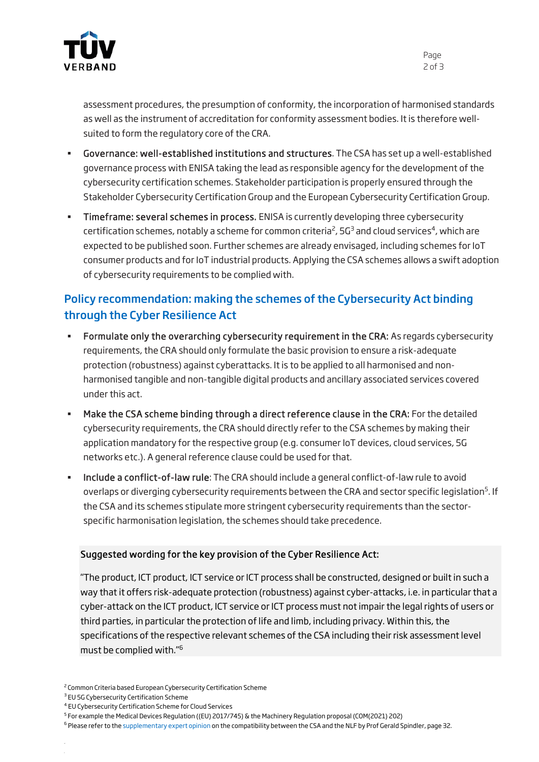

Page 2 of 3

assessment procedures, the presumption of conformity, the incorporation of harmonised standards as well as the instrument of accreditation for conformity assessment bodies. It is therefore wellsuited to form the regulatory core of the CRA.

- Governance: well-established institutions and structures. The CSA has set up a well-established governance process with ENISA taking the lead as responsible agency for the development of the cybersecurity certification schemes. Stakeholder participation is properly ensured through the Stakeholder Cybersecurity Certification Group and the European Cybersecurity Certification Group.
- Timeframe: several schemes in process. ENISA is currently developing three cybersecurity certification schemes, notably a scheme for common criteria<sup>2</sup>, 5G<sup>3</sup> and cloud services<sup>4</sup>, which are expected to be published soon. Further schemes are already envisaged, including schemes for IoT consumer products and for IoT industrial products. Applying the CSA schemes allows a swift adoption of cybersecurity requirements to be complied with.

## Policy recommendation: making the schemes of the Cybersecurity Act binding through the Cyber Resilience Act

- Formulate only the overarching cybersecurity requirement in the CRA: As regards cybersecurity requirements, the CRA should only formulate the basic provision to ensure a risk-adequate protection (robustness) against cyberattacks. It is to be applied to all harmonised and nonharmonised tangible and non-tangible digital products and ancillary associated services covered under this act.
- Make the CSA scheme binding through a direct reference clause in the CRA: For the detailed cybersecurity requirements, the CRA should directly refer to the CSA schemes by making their application mandatory for the respective group (e.g. consumer IoT devices, cloud services, 5G networks etc.). A general reference clause could be used for that.
- Include a conflict-of-law rule: The CRA should include a general conflict-of-law rule to avoid overlaps or diverging cybersecurity requirements between the CRA and sector specific legislation<sup>5</sup>. If the CSA and its schemes stipulate more stringent cybersecurity requirements than the sectorspecific harmonisation legislation, the schemes should take precedence.

#### Suggested wording for the key provision of the Cyber Resilience Act:

"The product, ICT product, ICT service or ICT process shall be constructed, designed or built in such a way that it offers risk-adequate protection (robustness) against cyber-attacks, i.e. in particular that a cyber-attack on the ICT product, ICT service or ICT process must not impair the legal rights of users or third parties, in particular the protection of life and limb, including privacy. Within this, the specifications of the respective relevant schemes of the CSA including their risk assessment level must be complied with."<sup>6</sup>

4 EU Cybersecurity Certification Scheme for Cloud Services

<sup>6</sup> Please refer to the supplementary expert opinion on the compatibility between the CSA and the NLF by Prof Gerald Spindler, page 32.

<sup>&</sup>lt;sup>2</sup> Common Criteria based European Cybersecurity Certification Scheme

<sup>&</sup>lt;sup>3</sup> EU 5G Cybersecurity Certification Scheme

<sup>&</sup>lt;sup>5</sup> For example the Medical Devices Regulation ((EU) 2017/745) & the Machinery Regulation proposal (COM(2021) 202)